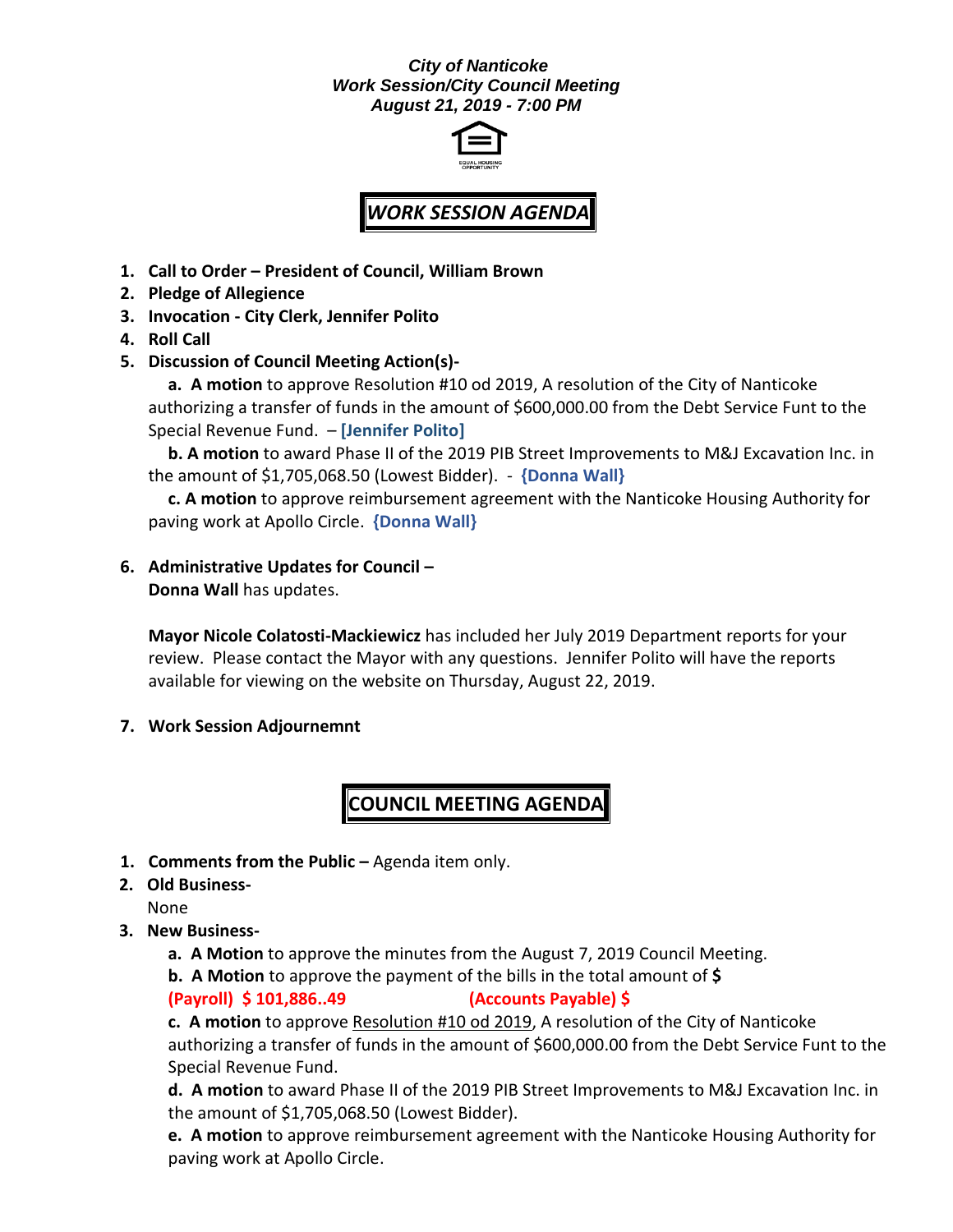## *City of Nanticoke Work Session/City Council Meeting August 21, 2019 - 7:00 PM*



## *WORK SESSION AGENDA*

- **1. Call to Order – President of Council, William Brown**
- **2. Pledge of Allegience**
- **3. Invocation - City Clerk, Jennifer Polito**
- **4. Roll Call**
- **5. Discussion of Council Meeting Action(s)-**

**a. A motion** to approve Resolution #10 od 2019, A resolution of the City of Nanticoke authorizing a transfer of funds in the amount of \$600,000.00 from the Debt Service Funt to the Special Revenue Fund. – **[Jennifer Polito]**

**b. A motion** to award Phase II of the 2019 PIB Street Improvements to M&J Excavation Inc. in the amount of \$1,705,068.50 (Lowest Bidder). - **{Donna Wall}**

**c. A motion** to approve reimbursement agreement with the Nanticoke Housing Authority for paving work at Apollo Circle. **{Donna Wall}**

**6. Administrative Updates for Council –**

**Donna Wall** has updates.

**Mayor Nicole Colatosti-Mackiewicz** has included her July 2019 Department reports for your review. Please contact the Mayor with any questions. Jennifer Polito will have the reports available for viewing on the website on Thursday, August 22, 2019.

**7. Work Session Adjournemnt**

## **COUNCIL MEETING AGENDA**

- **1. Comments from the Public –** Agenda item only.
- **2. Old Business-**

None

- **3. New Business**
	- **a. A Motion** to approve the minutes from the August 7, 2019 Council Meeting.
	- **b. A Motion** to approve the payment of the bills in the total amount of **\$**

**(Payroll) \$ 101,886..49 (Accounts Payable) \$**

**c. A motion** to approve Resolution #10 od 2019, A resolution of the City of Nanticoke authorizing a transfer of funds in the amount of \$600,000.00 from the Debt Service Funt to the Special Revenue Fund.

**d. A motion** to award Phase II of the 2019 PIB Street Improvements to M&J Excavation Inc. in the amount of \$1,705,068.50 (Lowest Bidder).

**e. A motion** to approve reimbursement agreement with the Nanticoke Housing Authority for paving work at Apollo Circle.